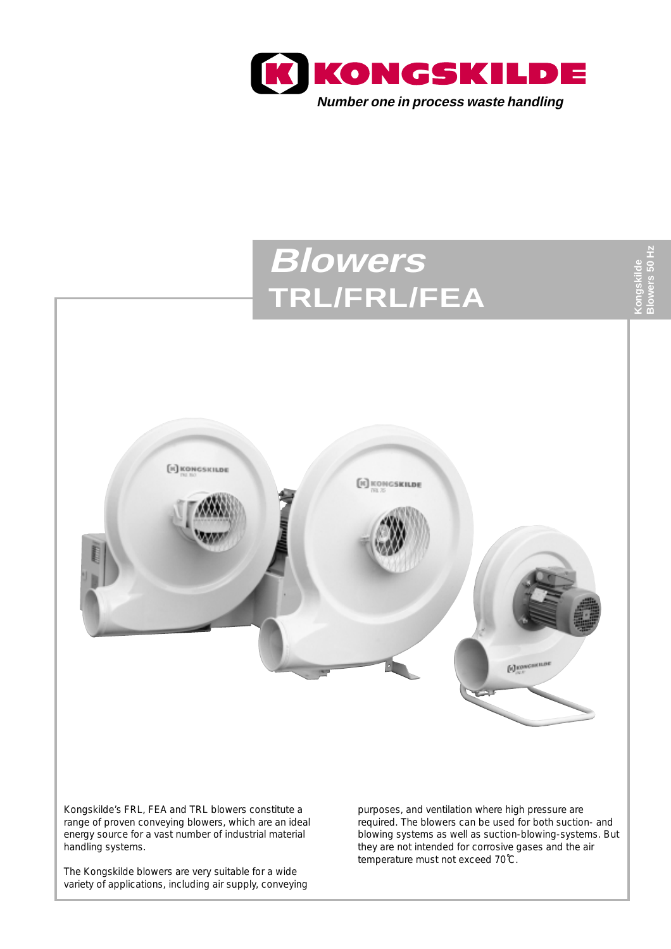

# **Blowers Blowers 50 Hz** owers 50 H: **Kongskilde TRL/FRL/FEA [к] конс** якили **EC KONGSKILDE f**d *KONGSHILD* Kongskilde's FRL, FEA and TRL blowers constitute a purposes, and ventilation where high pressure are

range of proven conveying blowers, which are an ideal energy source for a vast number of industrial material handling systems.

The Kongskilde blowers are very suitable for a wide variety of applications, including air supply, conveying required. The blowers can be used for both suction- and blowing systems as well as suction-blowing-systems. But they are not intended for corrosive gases and the air temperature must not exceed 70˚C.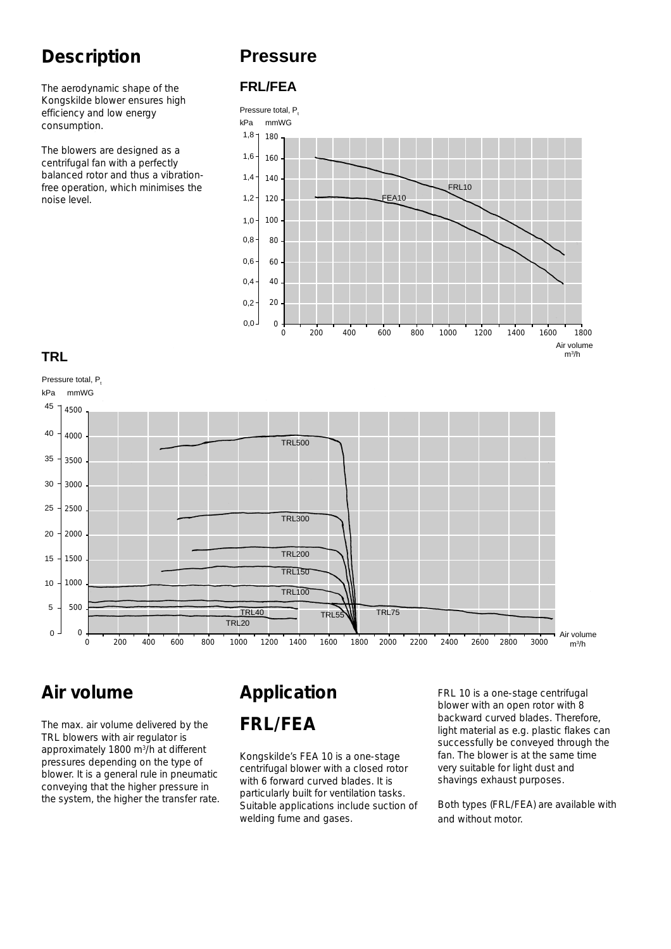# **Description**

The aerodynamic shape of the Kongskilde blower ensures high efficiency and low energy consumption.

The blowers are designed as a centrifugal fan with a perfectly balanced rotor and thus a vibrationfree operation, which minimises the noise level.

## **Pressure**

#### **FRL/FEA**



#### **TRL**



# **Air volume**

The max. air volume delivered by the TRL blowers with air regulator is approximately 1800 m<sup>3</sup>/h at different pressures depending on the type of blower. It is a general rule in pneumatic conveying that the higher pressure in the system, the higher the transfer rate.

# **Application FRL/FEA**

Kongskilde's FEA 10 is a one-stage centrifugal blower with a closed rotor with 6 forward curved blades. It is particularly built for ventilation tasks. Suitable applications include suction of welding fume and gases.

FRL 10 is a one-stage centrifugal blower with an open rotor with 8 backward curved blades. Therefore, light material as e.g. plastic flakes can successfully be conveyed through the fan. The blower is at the same time very suitable for light dust and shavings exhaust purposes.

Both types (FRL/FEA) are available with and without motor.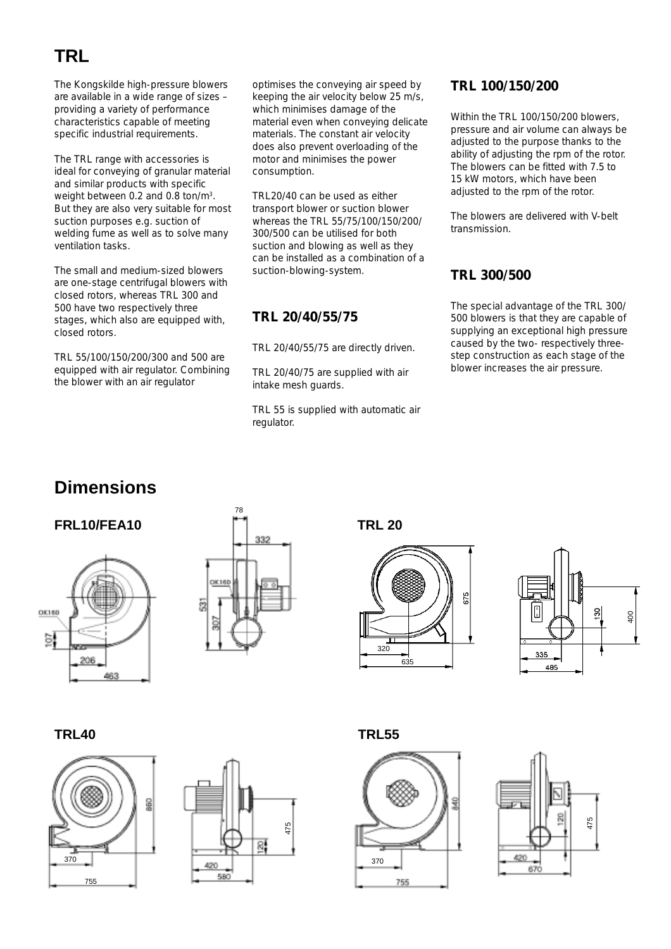# **TRL**

The Kongskilde high-pressure blowers are available in a wide range of sizes – providing a variety of performance characteristics capable of meeting specific industrial requirements.

The TRL range with accessories is ideal for conveying of granular material and similar products with specific weight between 0.2 and 0.8 ton/m3. But they are also very suitable for most suction purposes e.g. suction of welding fume as well as to solve many ventilation tasks.

The small and medium-sized blowers are one-stage centrifugal blowers with closed rotors, whereas TRL 300 and 500 have two respectively three stages, which also are equipped with, closed rotors.

TRL 55/100/150/200/300 and 500 are equipped with air regulator. Combining the blower with an air regulator

optimises the conveying air speed by keeping the air velocity below 25 m/s, which minimises damage of the material even when conveying delicate materials. The constant air velocity does also prevent overloading of the motor and minimises the power consumption.

TRL20/40 can be used as either transport blower or suction blower whereas the TRL 55/75/100/150/200/ 300/500 can be utilised for both suction and blowing as well as they can be installed as a combination of a suction-blowing-system.

#### **TRL 20/40/55/75**

TRL 20/40/55/75 are directly driven.

TRL 20/40/75 are supplied with air intake mesh guards.

TRL 55 is supplied with automatic air regulator.

#### **TRL 100/150/200**

Within the TRL 100/150/200 blowers, pressure and air volume can always be adjusted to the purpose thanks to the ability of adjusting the rpm of the rotor. The blowers can be fitted with 7.5 to 15 kW motors, which have been adjusted to the rpm of the rotor.

The blowers are delivered with V-belt transmission.

#### **TRL 300/500**

The special advantage of the TRL 300/ 500 blowers is that they are capable of supplying an exceptional high pressure caused by the two- respectively threestep construction as each stage of the blower increases the air pressure.

## **Dimensions**







**TRL 20**









**TRL40 TRL55**



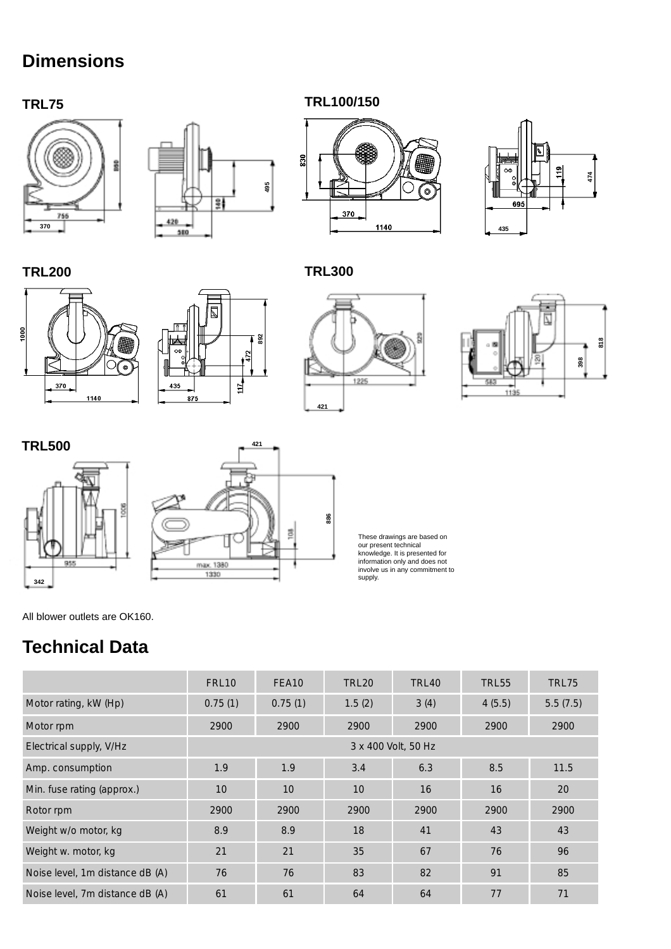# **Dimensions**

#### **TRL75 TRL100/150**

**TRL300**









**TRL200**















These drawings are based on our present technical knowledge. It is presented for information only and does not involve us in any commitment to supply.

All blower outlets are OK160.

## **Technical Data**

|                                 | FRL <sub>10</sub>   | FEA10           | <b>TRL20</b>    | TRL40 | <b>TRL55</b> | <b>TRL75</b> |
|---------------------------------|---------------------|-----------------|-----------------|-------|--------------|--------------|
| Motor rating, kW (Hp)           | 0.75(1)             | 0.75(1)         | 1.5(2)          | 3(4)  | 4(5.5)       | 5.5(7.5)     |
| Motor rpm                       | 2900                | 2900            | 2900            | 2900  | 2900         | 2900         |
| Electrical supply, V/Hz         | 3 x 400 Volt, 50 Hz |                 |                 |       |              |              |
| Amp. consumption                | 1.9                 | 1.9             | 3.4             | 6.3   | 8.5          | 11.5         |
| Min. fuse rating (approx.)      | 10                  | 10 <sup>°</sup> | 10 <sup>1</sup> | 16    | 16           | 20           |
| Rotor rpm                       | 2900                | 2900            | 2900            | 2900  | 2900         | 2900         |
| Weight w/o motor, kg            | 8.9                 | 8.9             | 18              | 41    | 43           | 43           |
| Weight w. motor, kg             | 21                  | 21              | 35              | 67    | 76           | 96           |
| Noise level, 1m distance dB (A) | 76                  | 76              | 83              | 82    | 91           | 85           |
| Noise level, 7m distance dB (A) | 61                  | 61              | 64              | 64    | 77           | 71           |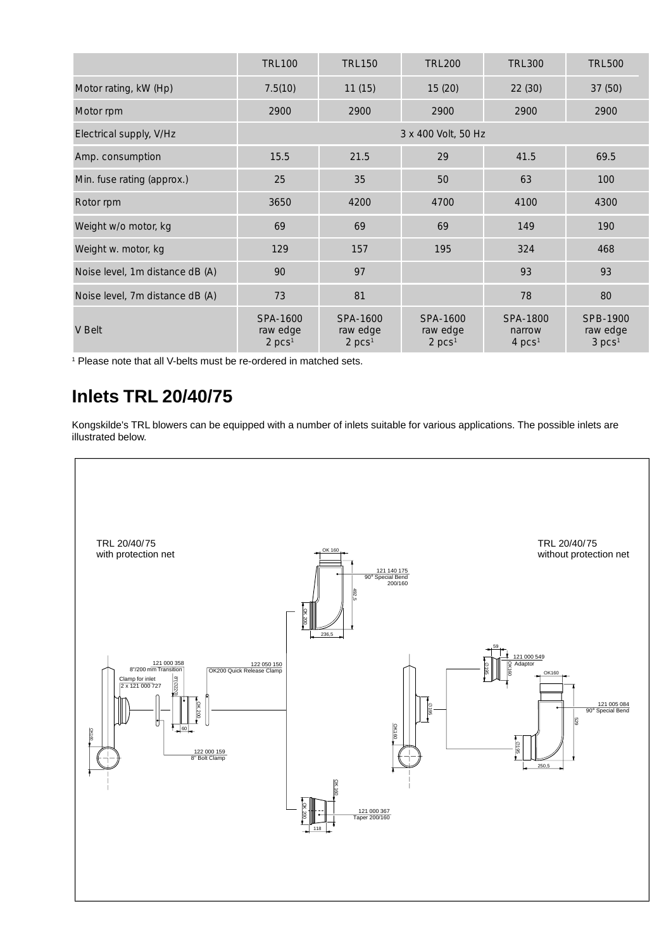|                                 | <b>TRL100</b>                                | <b>TRL150</b>                                | <b>TRL200</b>                              | <b>TRL300</b>                                       | <b>TRL500</b>                              |
|---------------------------------|----------------------------------------------|----------------------------------------------|--------------------------------------------|-----------------------------------------------------|--------------------------------------------|
| Motor rating, kW (Hp)           | 7.5(10)                                      | 11(15)                                       | 15(20)                                     | 22(30)                                              | 37 (50)                                    |
| Motor rpm                       | 2900                                         | 2900                                         | 2900                                       | 2900                                                | 2900                                       |
| Electrical supply, V/Hz         | 3 x 400 Volt, 50 Hz                          |                                              |                                            |                                                     |                                            |
| Amp. consumption                | 15.5                                         | 21.5                                         | 29                                         | 41.5                                                | 69.5                                       |
| Min. fuse rating (approx.)      | 25                                           | 35                                           | 50                                         | 63                                                  | 100                                        |
| Rotor rpm                       | 3650                                         | 4200                                         | 4700                                       | 4100                                                | 4300                                       |
| Weight w/o motor, kg            | 69                                           | 69                                           | 69                                         | 149                                                 | 190                                        |
| Weight w. motor, kg             | 129                                          | 157                                          | 195                                        | 324                                                 | 468                                        |
| Noise level, 1m distance dB (A) | 90                                           | 97                                           |                                            | 93                                                  | 93                                         |
| Noise level, 7m distance dB (A) | 73                                           | 81                                           |                                            | 78                                                  | 80                                         |
| V Belt                          | SPA-1600<br>raw edge<br>$2$ pcs <sup>1</sup> | SPA-1600<br>raw edge<br>$2$ pcs <sup>1</sup> | SPA-1600<br>raw edge<br>2 pcs <sup>1</sup> | SPA-1800<br>narrow<br>$4 \text{ }$ pcs <sup>1</sup> | SPB-1900<br>raw edge<br>3 pcs <sup>1</sup> |

<sup>1</sup> Please note that all V-belts must be re-ordered in matched sets.

## **Inlets TRL 20/40/75**

Kongskilde's TRL blowers can be equipped with a number of inlets suitable for various applications. The possible inlets are illustrated below.